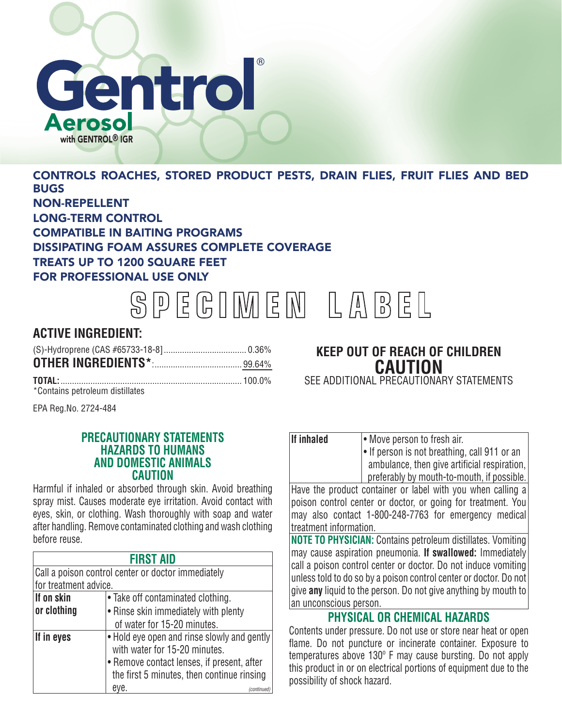# Gentrol erosol with GENTROL<sup>®</sup> IGR

CONTROLS ROACHES, STORED PRODUCT PESTS, DRAIN FLIES, FRUIT FLIES AND BED **BUGS** NON-REPELLENT LONG-TERM CONTROL COMPATIBLE IN BAITING PROGRAMS DISSIPATING FOAM ASSURES COMPLETE COVERAGE TREATS UP TO 1200 SQUARE FEET FOR PROFESSIONAL USE ONLY

SPEGIMEN LABEL

# **ACTIVE INGREDIENT:**

\*Contains petroleum distillates

EPA Reg.No. 2724-484

#### **PRECAUTIONARY STATEMENTS HAZARDS TO HUMANS AND DOMESTIC ANIMALS CAUTION**

Harmful if inhaled or absorbed through skin. Avoid breathing spray mist. Causes moderate eye irritation. Avoid contact with eyes, skin, or clothing. Wash thoroughly with soap and water after handling. Remove contaminated clothing and wash clothing before reuse.

| <b>FIRST AID</b>                                   |                                                                              |  |
|----------------------------------------------------|------------------------------------------------------------------------------|--|
| Call a poison control center or doctor immediately |                                                                              |  |
| for treatment advice.                              |                                                                              |  |
| If on skin                                         | • Take off contaminated clothing.                                            |  |
| or clothing                                        | • Rinse skin immediately with plenty                                         |  |
|                                                    | of water for 15-20 minutes.                                                  |  |
| If in eyes                                         | • Hold eye open and rinse slowly and gently<br>with water for 15-20 minutes. |  |
|                                                    | • Remove contact lenses, if present, after                                   |  |
|                                                    | the first 5 minutes, then continue rinsing                                   |  |
|                                                    | eve.                                                                         |  |

## **KEEP OUT OF REACH OF CHILDREN CAUTION** SEE ADDITIONAL PRECAUTIONARY STATEMENTS

| <b>If inhaled</b>                                            | • Move person to fresh air.                        |  |
|--------------------------------------------------------------|----------------------------------------------------|--|
|                                                              | $\cdot$ If person is not breathing, call 911 or an |  |
|                                                              | ambulance, then give artificial respiration,       |  |
|                                                              | preferably by mouth-to-mouth, if possible.         |  |
| Have the product container or label with you when calling a  |                                                    |  |
| poison control center or doctor, or going for treatment. You |                                                    |  |

may also contact 1-800-248-7763 for emergency medical treatment information. **NOTE TO PHYSICIAN:** Contains petroleum distillates. Vomiting may cause aspiration pneumonia. **If swallowed:** Immediately call a poison control center or doctor. Do not induce vomiting unless told to do so by a poison control center or doctor. Do not give **any** liquid to the person. Do not give anything by mouth to

## **PHYSICAL OR CHEMICAL HAZARDS**

an unconscious person.

Contents under pressure. Do not use or store near heat or open flame. Do not puncture or incinerate container. Exposure to temperatures above 130º F may cause bursting. Do not apply this product in or on electrical portions of equipment due to the possibility of shock hazard.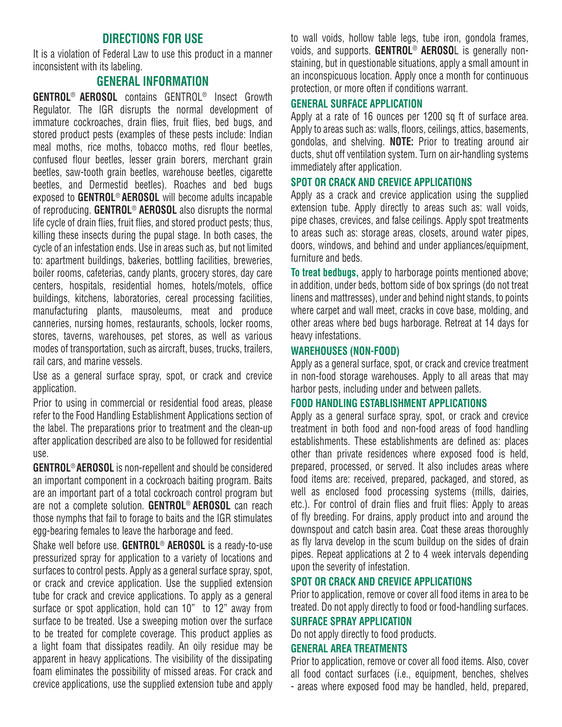## **DIRECTIONS FOR USE**

It is a violation of Federal Law to use this product in a manner inconsistent with its labeling.

### **GENERAL INFORMATION**

**GENTROL**® **AEROSOL** contains GENTROL® Insect Growth Regulator. The IGR disrupts the normal development of immature cockroaches, drain flies, fruit flies, bed bugs, and stored product pests (examples of these pests include: Indian meal moths, rice moths, tobacco moths, red flour beetles, confused flour beetles, lesser grain borers, merchant grain beetles, saw-tooth grain beetles, warehouse beetles, cigarette beetles, and Dermestid beetles). Roaches and bed bugs exposed to **GENTROL**® **AEROSOL** will become adults incapable of reproducing. **GENTROL**® **AEROSOL** also disrupts the normal life cycle of drain flies, fruit flies, and stored product pests; thus, killing these insects during the pupal stage. In both cases, the cycle of an infestation ends. Use in areas such as, but not limited to: apartment buildings, bakeries, bottling facilities, breweries, boiler rooms, cafeterias, candy plants, grocery stores, day care centers, hospitals, residential homes, hotels/motels, office buildings, kitchens, laboratories, cereal processing facilities, manufacturing plants, mausoleums, meat and produce canneries, nursing homes, restaurants, schools, locker rooms, stores, taverns, warehouses, pet stores, as well as various modes of transportation, such as aircraft, buses, trucks, trailers, rail cars, and marine vessels.

Use as a general surface spray, spot, or crack and crevice application.

Prior to using in commercial or residential food areas, please refer to the Food Handling Establishment Applications section of the label. The preparations prior to treatment and the clean-up after application described are also to be followed for residential use.

**GENTROL**® **AEROSOL** is non-repellent and should be considered an important component in a cockroach baiting program. Baits are an important part of a total cockroach control program but are not a complete solution. **GENTROL**® **AEROSOL** can reach those nymphs that fail to forage to baits and the IGR stimulates egg-bearing females to leave the harborage and feed.

Shake well before use. **GENTROL**® **AEROSOL** is a ready-to-use pressurized spray for application to a variety of locations and surfaces to control pests. Apply as a general surface spray, spot, or crack and crevice application. Use the supplied extension tube for crack and crevice applications. To apply as a general surface or spot application, hold can 10" to 12" away from surface to be treated. Use a sweeping motion over the surface to be treated for complete coverage. This product applies as a light foam that dissipates readily. An oily residue may be apparent in heavy applications. The visibility of the dissipating foam eliminates the possibility of missed areas. For crack and crevice applications, use the supplied extension tube and apply to wall voids, hollow table legs, tube iron, gondola frames, voids, and supports. **GENTROL**® **AEROSO**L is generally nonstaining, but in questionable situations, apply a small amount in an inconspicuous location. Apply once a month for continuous protection, or more often if conditions warrant.

#### **GENERAL SURFACE APPLICATION**

Apply at a rate of 16 ounces per 1200 sq ft of surface area. Apply to areas such as: walls, floors, ceilings, attics, basements, gondolas, and shelving. **NOTE:** Prior to treating around air ducts, shut off ventilation system. Turn on air-handling systems immediately after application.

#### **SPOT OR CRACK AND CREVICE APPLICATIONS**

Apply as a crack and crevice application using the supplied extension tube. Apply directly to areas such as: wall voids, pipe chases, crevices, and false ceilings. Apply spot treatments to areas such as: storage areas, closets, around water pipes, doors, windows, and behind and under appliances/equipment, furniture and beds.

**To treat bedbugs,** apply to harborage points mentioned above; in addition, under beds, bottom side of box springs (do not treat linens and mattresses), under and behind night stands, to points where carpet and wall meet, cracks in cove base, molding, and other areas where bed bugs harborage. Retreat at 14 days for heavy infestations.

#### **WAREHOUSES (NON-FOOD)**

Apply as a general surface, spot, or crack and crevice treatment in non-food storage warehouses. Apply to all areas that may harbor pests, including under and between pallets.

#### **FOOD HANDLING ESTABLISHMENT APPLICATIONS**

Apply as a general surface spray, spot, or crack and crevice treatment in both food and non-food areas of food handling establishments. These establishments are defined as: places other than private residences where exposed food is held, prepared, processed, or served. It also includes areas where food items are: received, prepared, packaged, and stored, as well as enclosed food processing systems (mills, dairies, etc.). For control of drain flies and fruit flies: Apply to areas of fly breeding. For drains, apply product into and around the downspout and catch basin area. Coat these areas thoroughly as fly larva develop in the scum buildup on the sides of drain pipes. Repeat applications at 2 to 4 week intervals depending upon the severity of infestation.

#### **SPOT OR CRACK AND CREVICE APPLICATIONS**

Prior to application, remove or cover all food items in area to be treated. Do not apply directly to food or food-handling surfaces.

#### **SURFACE SPRAY APPLICATION**

Do not apply directly to food products.

#### **GENERAL AREA TREATMENTS**

Prior to application, remove or cover all food items. Also, cover all food contact surfaces (i.e., equipment, benches, shelves - areas where exposed food may be handled, held, prepared,